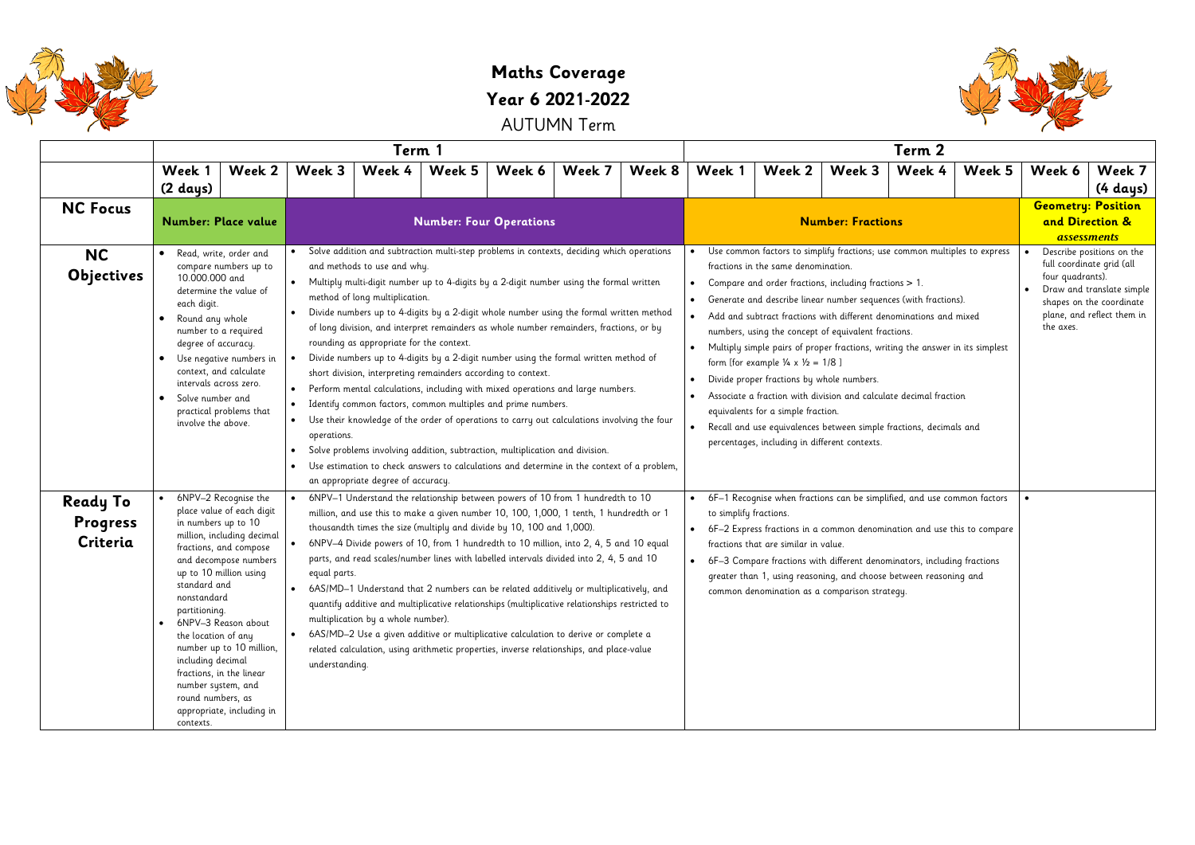

## **Maths Coverage Year 6 2021-2022**

AUTUMN Term

|                                         | Term 1                                                                                                                                                                                                                                                                                                                                                                                                                                              |                                                                                                                                                                                                                                                                                                                                                                                                                                                                                                                                                                                                                                                                                                                                                                                                                                                                                                                                                                                                                                                                                                                                               |                                                                                                                                                                                                                                                                                                                                                                                                                                                                                                                                                                                                                                                                                                                                                                                                                                                             |        |                                |                                                                                                                                                                                                                                                                                                                                                                                                                                                                                                                                                                                                                                                                                                                                                                                                        |        |                          | Term 2                               |                                                                                                                                                                                                                                                                                                                                                     |                               |                                                                                                                                               |                                                                    |                              |  |
|-----------------------------------------|-----------------------------------------------------------------------------------------------------------------------------------------------------------------------------------------------------------------------------------------------------------------------------------------------------------------------------------------------------------------------------------------------------------------------------------------------------|-----------------------------------------------------------------------------------------------------------------------------------------------------------------------------------------------------------------------------------------------------------------------------------------------------------------------------------------------------------------------------------------------------------------------------------------------------------------------------------------------------------------------------------------------------------------------------------------------------------------------------------------------------------------------------------------------------------------------------------------------------------------------------------------------------------------------------------------------------------------------------------------------------------------------------------------------------------------------------------------------------------------------------------------------------------------------------------------------------------------------------------------------|-------------------------------------------------------------------------------------------------------------------------------------------------------------------------------------------------------------------------------------------------------------------------------------------------------------------------------------------------------------------------------------------------------------------------------------------------------------------------------------------------------------------------------------------------------------------------------------------------------------------------------------------------------------------------------------------------------------------------------------------------------------------------------------------------------------------------------------------------------------|--------|--------------------------------|--------------------------------------------------------------------------------------------------------------------------------------------------------------------------------------------------------------------------------------------------------------------------------------------------------------------------------------------------------------------------------------------------------------------------------------------------------------------------------------------------------------------------------------------------------------------------------------------------------------------------------------------------------------------------------------------------------------------------------------------------------------------------------------------------------|--------|--------------------------|--------------------------------------|-----------------------------------------------------------------------------------------------------------------------------------------------------------------------------------------------------------------------------------------------------------------------------------------------------------------------------------------------------|-------------------------------|-----------------------------------------------------------------------------------------------------------------------------------------------|--------------------------------------------------------------------|------------------------------|--|
|                                         | Week 1<br>Week 2<br>(2 days)                                                                                                                                                                                                                                                                                                                                                                                                                        | Week 3                                                                                                                                                                                                                                                                                                                                                                                                                                                                                                                                                                                                                                                                                                                                                                                                                                                                                                                                                                                                                                                                                                                                        | Week 4                                                                                                                                                                                                                                                                                                                                                                                                                                                                                                                                                                                                                                                                                                                                                                                                                                                      | Week 5 | Week 6                         | Week 7                                                                                                                                                                                                                                                                                                                                                                                                                                                                                                                                                                                                                                                                                                                                                                                                 | Week 8 | Week 1                   | Week 2                               | Week 3                                                                                                                                                                                                                                                                                                                                              | Week 4                        | Week 5                                                                                                                                        | Week 6                                                             | Week 7<br>$(4 \text{ days})$ |  |
| <b>NC Focus</b>                         | <b>Number: Place value</b>                                                                                                                                                                                                                                                                                                                                                                                                                          |                                                                                                                                                                                                                                                                                                                                                                                                                                                                                                                                                                                                                                                                                                                                                                                                                                                                                                                                                                                                                                                                                                                                               |                                                                                                                                                                                                                                                                                                                                                                                                                                                                                                                                                                                                                                                                                                                                                                                                                                                             |        | <b>Number: Four Operations</b> |                                                                                                                                                                                                                                                                                                                                                                                                                                                                                                                                                                                                                                                                                                                                                                                                        |        | <b>Number: Fractions</b> |                                      |                                                                                                                                                                                                                                                                                                                                                     |                               |                                                                                                                                               | <b>Geometry: Position</b><br>and Direction &<br><b>assessments</b> |                              |  |
| <b>NC</b><br><b>Objectives</b>          | Read, write, order and<br>compare numbers up to<br>10.000.000 and<br>determine the value of<br>each digit.<br>Round any whole<br>number to a required<br>degree of accuracy.<br>Use negative numbers in<br>$\bullet$<br>context, and calculate<br>intervals across zero.<br>Solve number and<br>practical problems that<br>involve the above.                                                                                                       | Solve addition and subtraction multi-step problems in contexts, deciding which operations<br>and methods to use and why.<br>• Multiply multi-digit number up to 4-digits by a 2-digit number using the formal written<br>method of long multiplication.<br>Divide numbers up to 4-digits by a 2-digit whole number using the formal written method<br>of long division, and interpret remainders as whole number remainders, fractions, or by<br>rounding as appropriate for the context.<br>Divide numbers up to 4-digits by a 2-digit number using the formal written method of<br>short division, interpreting remainders according to context.<br>• Perform mental calculations, including with mixed operations and large numbers.<br>• Identify common factors, common multiples and prime numbers.<br>• Use their knowledge of the order of operations to carry out calculations involving the four<br>operations.<br>Solve problems involving addition, subtraction, multiplication and division.<br>Use estimation to check answers to calculations and determine in the context of a problem,<br>an appropriate degree of accuracy. |                                                                                                                                                                                                                                                                                                                                                                                                                                                                                                                                                                                                                                                                                                                                                                                                                                                             |        |                                | Use common factors to simplify fractions; use common multiples to express<br>fractions in the same denomination.<br>Compare and order fractions, including fractions > 1.<br>Generate and describe linear number sequences (with fractions).<br>Add and subtract fractions with different denominations and mixed<br>numbers, using the concept of equivalent fractions.<br>Multiply simple pairs of proper fractions, writing the answer in its simplest<br>form [for example $\frac{1}{4} \times \frac{1}{2} = 1/8$ ]<br>Divide proper fractions by whole numbers.<br>Associate a fraction with division and calculate decimal fraction<br>equivalents for a simple fraction.<br>Recall and use equivalences between simple fractions, decimals and<br>percentages, including in different contexts. |        |                          |                                      |                                                                                                                                                                                                                                                                                                                                                     | four quadrants).<br>the axes. | Describe positions on the<br>full coordinate grid (all<br>Draw and translate simple<br>shapes on the coordinate<br>plane, and reflect them in |                                                                    |                              |  |
| <b>Ready To</b><br>Progress<br>Criteria | 6NPV-2 Recognise the<br>place value of each digit<br>in numbers up to 10<br>million, including decimal<br>fractions, and compose<br>and decompose numbers<br>up to 10 million using<br>standard and<br>nonstandard<br>partitioning.<br>6NPV-3 Reason about<br>the location of any<br>number up to 10 million,<br>including decimal<br>fractions, in the linear<br>number system, and<br>round numbers, as<br>appropriate, including in<br>contexts. | equal parts.<br>understanding.                                                                                                                                                                                                                                                                                                                                                                                                                                                                                                                                                                                                                                                                                                                                                                                                                                                                                                                                                                                                                                                                                                                | 6NPV-1 Understand the relationship between powers of 10 from 1 hundredth to 10<br>million, and use this to make a given number 10, 100, 1,000, 1 tenth, 1 hundredth or 1<br>thousandth times the size (multiply and divide by 10, 100 and 1,000).<br>6NPV-4 Divide powers of 10, from 1 hundredth to 10 million, into 2, 4, 5 and 10 equal<br>parts, and read scales/number lines with labelled intervals divided into 2, 4, 5 and 10<br>6AS/MD-1 Understand that 2 numbers can be related additively or multiplicatively, and<br>quantify additive and multiplicative relationships (multiplicative relationships restricted to<br>multiplication by a whole number).<br>• 6AS/MD-2 Use a given additive or multiplicative calculation to derive or complete a<br>related calculation, using arithmetic properties, inverse relationships, and place-value |        |                                |                                                                                                                                                                                                                                                                                                                                                                                                                                                                                                                                                                                                                                                                                                                                                                                                        |        | to simplify fractions.   | fractions that are similar in value. | 6F-1 Recognise when fractions can be simplified, and use common factors<br>6F-2 Express fractions in a common denomination and use this to compare<br>6F-3 Compare fractions with different denominators, including fractions<br>greater than 1, using reasoning, and choose between reasoning and<br>common denomination as a comparison strategy. |                               |                                                                                                                                               |                                                                    |                              |  |

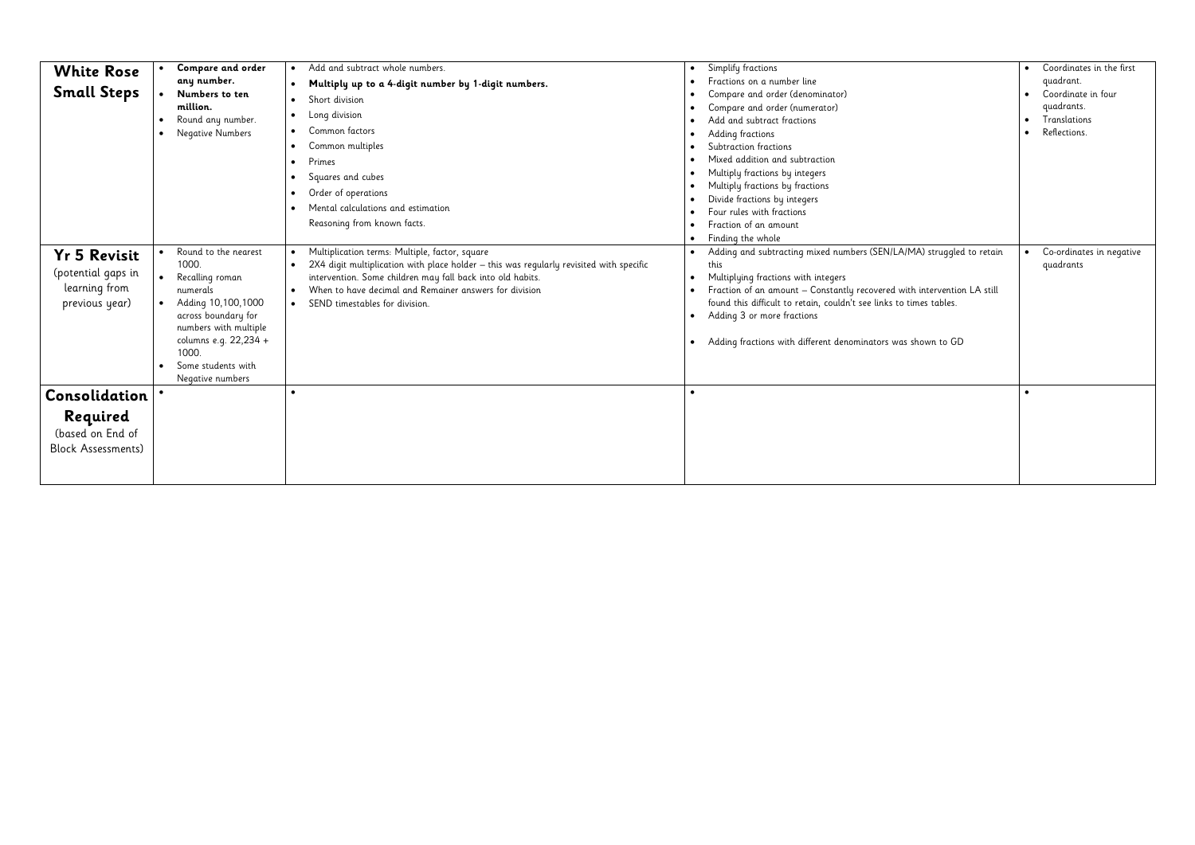| <b>White Rose</b><br><b>Small Steps</b><br><b>Yr 5 Revisit</b><br>(potential gaps in<br>learning from<br>previous year) | <b>Compare and order</b><br>any number.<br>Numbers to ten<br>million.<br>Round any number.<br>$\bullet$<br>Negative Numbers<br>$\bullet$<br>Round to the nearest<br>$\bullet$<br>1000.<br>$\bullet$<br>Recalling roman<br>numerals<br>Adding 10,100,1000<br>$\bullet$<br>across boundary for<br>numbers with multiple<br>columns e.g. 22,234 +<br>1000.<br>Some students with<br>Negative numbers | Add and subtract whole numbers.<br>Multiply up to a 4-digit number by 1-digit numbers.<br>Short division<br>Long division<br>Common factors<br>$\bullet$<br>Common multiples<br>Primes<br>Squares and cubes<br>Order of operations<br>Mental calculations and estimation<br>Reasoning from known facts.<br>Multiplication terms: Multiple, factor, square<br>2X4 digit multiplication with place holder - this was regularly revisited with specific<br>intervention. Some children may fall back into old habits.<br>When to have decimal and Remainer answers for division<br>$\bullet$<br>SEND timestables for division. | Simplify fractions<br>Fractions on a number line<br>Compare and order (denominator)<br>Compare and order (numerator)<br>Add and subtract fractions<br>Adding fractions<br>Subtraction fractions<br>Mixed addition and subtraction<br>Multiply fractions by integers<br>Multiply fractions by fractions<br>Divide fractions by integers<br>Four rules with fractions<br>Fraction of an amount<br>Finding the whole<br>Adding and subtracting mixed numbers (SEN/LA/MA) struggled to retain<br>this<br>Multiplying fractions with integers<br>Fraction of an amount - Constantly recovered with intervention LA still<br>found this difficult to retain, couldn't see links to times tables.<br>Adding 3 or more fractions<br>Adding fractions with different denominators was shown to GD | Coordinates in the first<br>$\bullet$<br>quadrant.<br>Coordinate in four<br>$\bullet$<br>quadrants.<br>Translations<br>$\bullet$<br>Reflections.<br>$\bullet$<br>Co-ordinates in negative<br>$\bullet$<br>quadrants |
|-------------------------------------------------------------------------------------------------------------------------|---------------------------------------------------------------------------------------------------------------------------------------------------------------------------------------------------------------------------------------------------------------------------------------------------------------------------------------------------------------------------------------------------|-----------------------------------------------------------------------------------------------------------------------------------------------------------------------------------------------------------------------------------------------------------------------------------------------------------------------------------------------------------------------------------------------------------------------------------------------------------------------------------------------------------------------------------------------------------------------------------------------------------------------------|------------------------------------------------------------------------------------------------------------------------------------------------------------------------------------------------------------------------------------------------------------------------------------------------------------------------------------------------------------------------------------------------------------------------------------------------------------------------------------------------------------------------------------------------------------------------------------------------------------------------------------------------------------------------------------------------------------------------------------------------------------------------------------------|---------------------------------------------------------------------------------------------------------------------------------------------------------------------------------------------------------------------|
| <b>Consolidation</b><br>Required<br>(based on End of<br><b>Block Assessments)</b>                                       |                                                                                                                                                                                                                                                                                                                                                                                                   |                                                                                                                                                                                                                                                                                                                                                                                                                                                                                                                                                                                                                             |                                                                                                                                                                                                                                                                                                                                                                                                                                                                                                                                                                                                                                                                                                                                                                                          | $\bullet$                                                                                                                                                                                                           |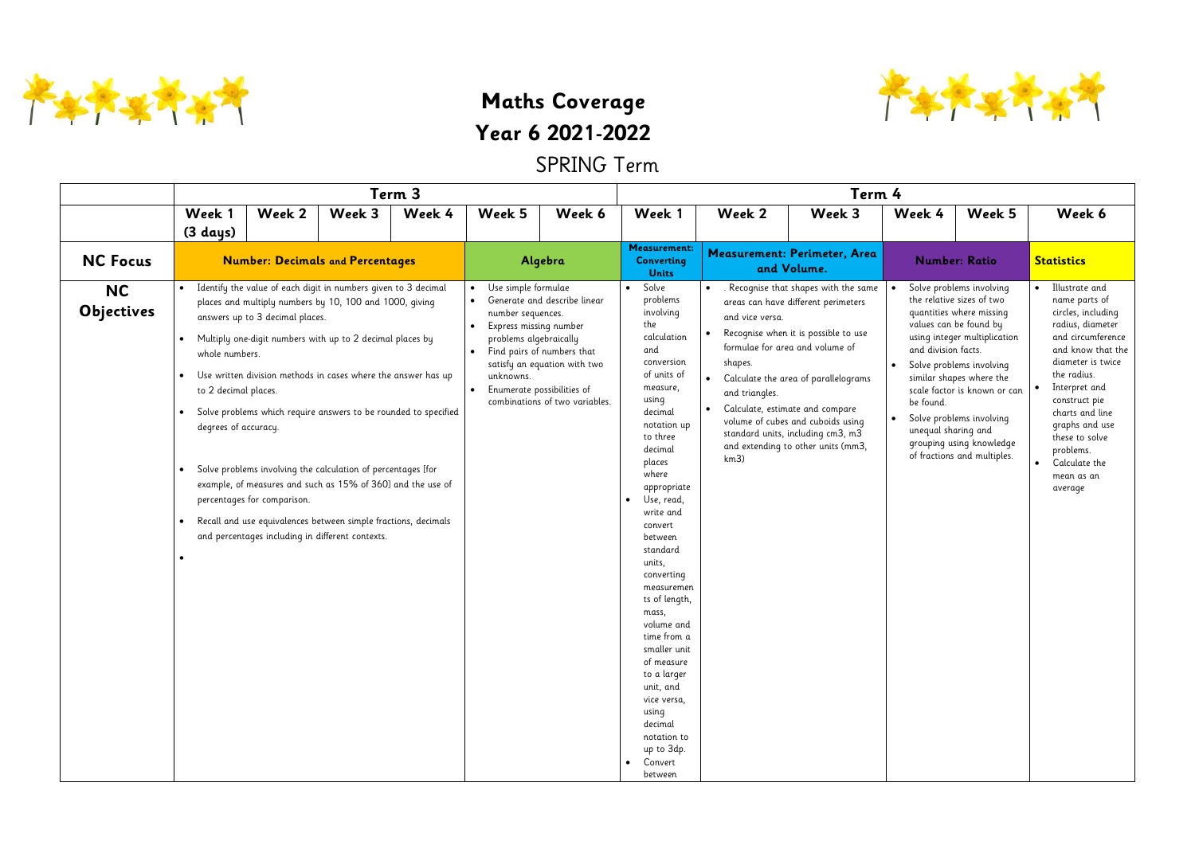

**Maths Coverage Year 6 2021-2022**

SPRING Term

|                                | Term 3                                                                                                                                       |                                                                |                                                                                                                                                                                                                                                                                                                                                                                                                                                                                                                                                                                 |        |                                                                                                                                                                                    |                                                                                                                            | Term 4                                                                                                                                                                                                                                                                                                                                                                                                                                                                                                                  |                                                                                             |                                                                                                                                                                                                                                                                                                                                                  |                                                         |                                                                                                                                                                                                                                                                                                                            |                                                                                                                                                                                                                                                                                                         |  |  |
|--------------------------------|----------------------------------------------------------------------------------------------------------------------------------------------|----------------------------------------------------------------|---------------------------------------------------------------------------------------------------------------------------------------------------------------------------------------------------------------------------------------------------------------------------------------------------------------------------------------------------------------------------------------------------------------------------------------------------------------------------------------------------------------------------------------------------------------------------------|--------|------------------------------------------------------------------------------------------------------------------------------------------------------------------------------------|----------------------------------------------------------------------------------------------------------------------------|-------------------------------------------------------------------------------------------------------------------------------------------------------------------------------------------------------------------------------------------------------------------------------------------------------------------------------------------------------------------------------------------------------------------------------------------------------------------------------------------------------------------------|---------------------------------------------------------------------------------------------|--------------------------------------------------------------------------------------------------------------------------------------------------------------------------------------------------------------------------------------------------------------------------------------------------------------------------------------------------|---------------------------------------------------------|----------------------------------------------------------------------------------------------------------------------------------------------------------------------------------------------------------------------------------------------------------------------------------------------------------------------------|---------------------------------------------------------------------------------------------------------------------------------------------------------------------------------------------------------------------------------------------------------------------------------------------------------|--|--|
|                                | Week 1                                                                                                                                       | Week 2                                                         | Week 3                                                                                                                                                                                                                                                                                                                                                                                                                                                                                                                                                                          | Week 4 | Week 5                                                                                                                                                                             | Week 6                                                                                                                     | Week 1                                                                                                                                                                                                                                                                                                                                                                                                                                                                                                                  | Week 2                                                                                      | Week 3                                                                                                                                                                                                                                                                                                                                           | Week 4                                                  | Week 5                                                                                                                                                                                                                                                                                                                     | Week 6                                                                                                                                                                                                                                                                                                  |  |  |
|                                | $(3 \text{ days})$                                                                                                                           |                                                                |                                                                                                                                                                                                                                                                                                                                                                                                                                                                                                                                                                                 |        |                                                                                                                                                                                    |                                                                                                                            | <b>Measurement:</b>                                                                                                                                                                                                                                                                                                                                                                                                                                                                                                     |                                                                                             |                                                                                                                                                                                                                                                                                                                                                  |                                                         |                                                                                                                                                                                                                                                                                                                            |                                                                                                                                                                                                                                                                                                         |  |  |
| <b>NC Focus</b>                |                                                                                                                                              |                                                                | <b>Number: Decimals and Percentages</b>                                                                                                                                                                                                                                                                                                                                                                                                                                                                                                                                         |        |                                                                                                                                                                                    | Algebra                                                                                                                    | <b>Converting</b><br><b>Units</b>                                                                                                                                                                                                                                                                                                                                                                                                                                                                                       |                                                                                             | Measurement: Perimeter, Area<br>and Volume.                                                                                                                                                                                                                                                                                                      |                                                         | <b>Number: Ratio</b>                                                                                                                                                                                                                                                                                                       | <b>Statistics</b>                                                                                                                                                                                                                                                                                       |  |  |
| <b>NC</b><br><b>Objectives</b> | $\bullet$<br>$\bullet$<br>whole numbers.<br>$\bullet$<br>to 2 decimal places.<br>degrees of accuracy.<br>$\bullet$<br>$\bullet$<br>$\bullet$ | answers up to 3 decimal places.<br>percentages for comparison. | Identify the value of each digit in numbers given to 3 decimal<br>places and multiply numbers by 10, 100 and 1000, giving<br>Multiply one-digit numbers with up to 2 decimal places by<br>Use written division methods in cases where the answer has up<br>Solve problems which require answers to be rounded to specified<br>Solve problems involving the calculation of percentages [for<br>example, of measures and such as 15% of 360] and the use of<br>Recall and use equivalences between simple fractions, decimals<br>and percentages including in different contexts. |        | Use simple formulae<br>$\bullet$<br>• Generate and describe linear<br>number sequences.<br>Express missing number<br>problems algebraically<br>$\bullet$<br>unknowns.<br>$\bullet$ | Find pairs of numbers that<br>satisfy an equation with two<br>Enumerate possibilities of<br>combinations of two variables. | Solve<br>$\bullet$<br>problems<br>involving<br>the<br>calculation<br>and<br>conversion<br>of units of<br>measure,<br>using<br>decimal<br>notation up<br>to three<br>decimal<br>places<br>where<br>appropriate<br>Use, read,<br>write and<br>convert<br>between<br>standard<br>units,<br>converting<br>measuremen<br>ts of length,<br>mass,<br>volume and<br>time from a<br>smaller unit<br>of measure<br>to a larger<br>unit, and<br>vice versa,<br>using<br>decimal<br>notation to<br>up to 3dp.<br>Convert<br>between | $\bullet$<br>and vice versa.<br>$\bullet$<br>shapes.<br>$\bullet$<br>and triangles.<br>km3) | Recognise that shapes with the same<br>areas can have different perimeters<br>Recognise when it is possible to use<br>formulae for area and volume of<br>Calculate the area of parallelograms<br>Calculate, estimate and compare<br>volume of cubes and cuboids using<br>standard units, including cm3, m3<br>and extending to other units (mm3, | and division facts.<br>be found.<br>unequal sharing and | Solve problems involving<br>the relative sizes of two<br>quantities where missing<br>values can be found by<br>using integer multiplication<br>Solve problems involving<br>similar shapes where the<br>scale factor is known or can<br>Solve problems involving<br>grouping using knowledge<br>of fractions and multiples. | Illustrate and<br>name parts of<br>circles, including<br>radius, diameter<br>and circumference<br>and know that the<br>diameter is twice<br>the radius.<br>Interpret and<br>construct pie<br>charts and line<br>graphs and use<br>these to solve<br>problems.<br>Calculate the<br>mean as an<br>average |  |  |

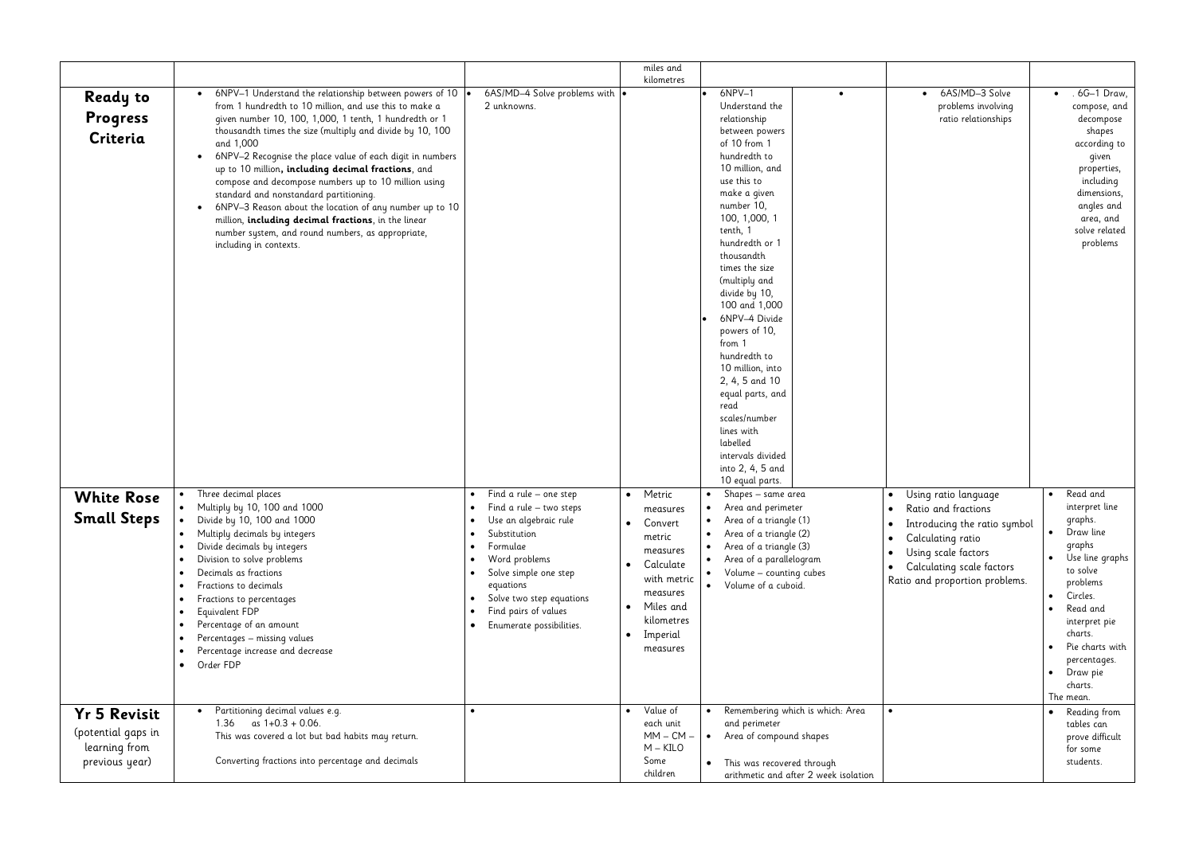|                                                                              |                                                                                                                                                                                                                                                                                                                                                                                                                                                                                                                                                                                                                                                                                                                              |                                                                                                                                                                                                                                                                                                                                           | miles and                                                                                                                                                                                                       |                                                                                                                                                                                                                                                                                                                                                                                                                                                                                                                                   |                                                                                  |
|------------------------------------------------------------------------------|------------------------------------------------------------------------------------------------------------------------------------------------------------------------------------------------------------------------------------------------------------------------------------------------------------------------------------------------------------------------------------------------------------------------------------------------------------------------------------------------------------------------------------------------------------------------------------------------------------------------------------------------------------------------------------------------------------------------------|-------------------------------------------------------------------------------------------------------------------------------------------------------------------------------------------------------------------------------------------------------------------------------------------------------------------------------------------|-----------------------------------------------------------------------------------------------------------------------------------------------------------------------------------------------------------------|-----------------------------------------------------------------------------------------------------------------------------------------------------------------------------------------------------------------------------------------------------------------------------------------------------------------------------------------------------------------------------------------------------------------------------------------------------------------------------------------------------------------------------------|----------------------------------------------------------------------------------|
| <b>Ready to</b><br>Progress<br>Criteria                                      | 6NPV-1 Understand the relationship between powers of 10 $\bullet$<br>$\bullet$<br>from 1 hundredth to 10 million, and use this to make a<br>given number 10, 100, 1,000, 1 tenth, 1 hundredth or 1<br>thousandth times the size (multiply and divide by 10, 100<br>and 1,000<br>6NPV-2 Recognise the place value of each digit in numbers<br>$\bullet$<br>up to 10 million, including decimal fractions, and<br>compose and decompose numbers up to 10 million using<br>standard and nonstandard partitioning.<br>6NPV-3 Reason about the location of any number up to 10<br>$\bullet$<br>million, including decimal fractions, in the linear<br>number system, and round numbers, as appropriate,<br>including in contexts. | 6AS/MD-4 Solve problems with $\cdot$<br>2 unknowns.                                                                                                                                                                                                                                                                                       | kilometres                                                                                                                                                                                                      | 6NPV-1<br>Understand the<br>relationship<br>between powers<br>of 10 from 1<br>hundredth to<br>10 million, and<br>use this to<br>make a given<br>number 10,<br>100, 1,000, 1<br>tenth, 1<br>hundredth or 1<br>thousandth<br>times the size<br>(multiply and<br>divide by 10,<br>100 and 1,000<br>6NPV-4 Divide<br>powers of 10,<br>from 1<br>hundredth to<br>10 million, into<br>2, 4, 5 and 10<br>equal parts, and<br>read<br>scales/number<br>lines with<br>labelled<br>intervals divided<br>into 2, 4, 5 and<br>10 equal parts. |                                                                                  |
| <b>White Rose</b><br><b>Small Steps</b>                                      | Three decimal places<br>$\bullet$<br>Multiply by 10, 100 and 1000<br>Divide by 10, 100 and 1000<br>Multiply decimals by integers<br>Divide decimals by integers<br>Division to solve problems<br>Decimals as fractions<br>$\bullet$<br>Fractions to decimals<br>$\bullet$<br>Fractions to percentages<br>Equivalent FDP<br>$\bullet$<br>Percentage of an amount<br>Percentages - missing values<br>Percentage increase and decrease<br>Order FDP<br>$\bullet$                                                                                                                                                                                                                                                                | Find a rule $-$ one step<br>$\bullet$<br>Find a rule $-$ two steps<br>Use an algebraic rule<br>$\bullet$<br>Substitution<br>$\bullet$<br>Formulae<br>$\bullet$<br>Word problems<br>٠<br>Solve simple one step<br>$\bullet$<br>equations<br>Solve two step equations<br>Find pairs of values<br>$\bullet$<br>Enumerate possibilities.<br>٠ | Metric<br>$\bullet$<br>measures<br>Convert<br>$\bullet$<br>metric<br>measures<br>Calculate<br>$\bullet$<br>with metric<br>measures<br>Miles and<br>$\bullet$<br>kilometres<br>Imperial<br>$\bullet$<br>measures | Shapes – same area<br>$\bullet$<br>Area and perimeter<br>Area of a triangle (1)<br>Area of a triangle (2)<br>$\bullet$<br>Area of a triangle (3)<br>Area of a parallelogram<br>Volume - counting cubes<br>$\bullet$<br>Volume of a cuboid.                                                                                                                                                                                                                                                                                        | $\bullet$<br>$\bullet$<br>Ι<br>$\bullet$<br>$\bullet$<br>$\bullet$<br>٠<br>Ratio |
| <b>Yr 5 Revisit</b><br>(potential gaps in<br>learning from<br>previous year) | Partitioning decimal values e.g.<br>$\bullet$<br>as $1+0.3 + 0.06$ .<br>1.36<br>This was covered a lot but bad habits may return.<br>Converting fractions into percentage and decimals                                                                                                                                                                                                                                                                                                                                                                                                                                                                                                                                       | $\bullet$                                                                                                                                                                                                                                                                                                                                 | Value of<br>$\bullet$<br>each unit<br>$MM - CM -$<br>$M - KILO$<br>Some<br>children                                                                                                                             | Remembering which is which: Area<br>$\bullet$<br>and perimeter<br>Area of compound shapes<br>$\bullet$<br>This was recovered through<br>$\bullet$<br>arithmetic and after 2 week isolation                                                                                                                                                                                                                                                                                                                                        | $\bullet$                                                                        |

|                      | 6AS/MD-3 Solve<br>problems involving<br>ratio relationships                                                                                                                            |  | . 6G-1 Draw,<br>compose, and<br>decompose<br>shapes<br>according to<br>given<br>properties,<br>including<br>dimensions,<br>angles and<br>area, and<br>solve related<br>problems                                                    |  |
|----------------------|----------------------------------------------------------------------------------------------------------------------------------------------------------------------------------------|--|------------------------------------------------------------------------------------------------------------------------------------------------------------------------------------------------------------------------------------|--|
|                      | Using ratio language<br>Ratio and fractions<br>Introducing the ratio symbol<br>Calculating ratio<br>Using scale factors<br>Calculating scale factors<br>Ratio and proportion problems. |  | Read and<br>interpret line<br>graphs.<br>Draw line<br>graphs<br>Use line graphs<br>to solve<br>problems<br>Circles.<br>Read and<br>interpret pie<br>charts.<br>Pie charts with<br>percentages.<br>Draw pie<br>charts.<br>The mean. |  |
| ı: Area<br>isolation |                                                                                                                                                                                        |  | Reading from<br>tables can<br>prove difficult<br>for some<br>students.                                                                                                                                                             |  |
|                      |                                                                                                                                                                                        |  |                                                                                                                                                                                                                                    |  |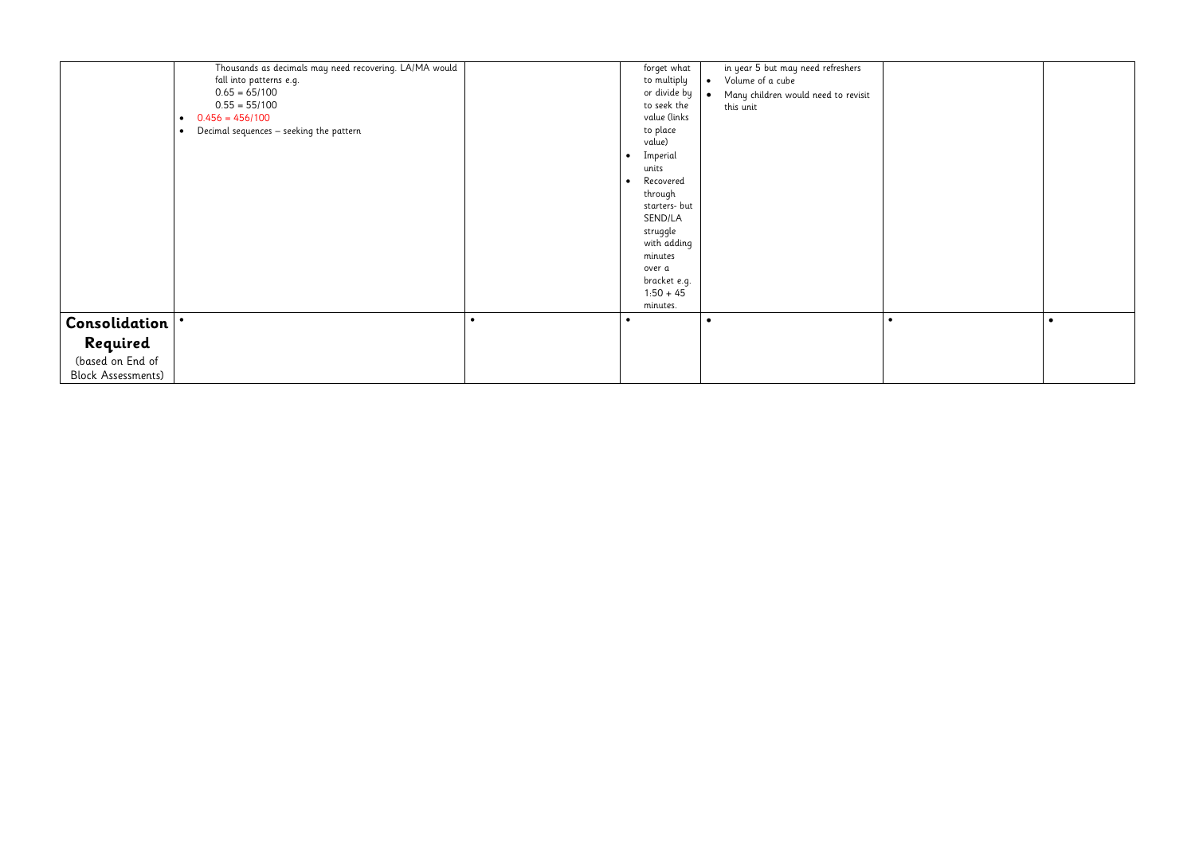|                           | Thousands as decimals may need recovering. LA/MA would<br>fall into patterns e.g.<br>$0.65 = 65/100$<br>$0.55 = 55/100$<br>$0.456 = 456/100$<br>$\bullet$<br>Decimal sequences - seeking the pattern<br>$\bullet$ |           | forget what<br>to multiply<br>or divide by<br>to seek the<br>value (links<br>to place<br>value)<br>Imperial<br>units<br>Recovered<br>through<br>starters- but<br>SEND/LA<br>struggle<br>with adding<br>minutes<br>over a | in year 5 but may need refreshers<br>Volume of a cube<br>$\bullet$<br>Many children would need to revisit<br>$\bullet$<br>this unit |  |
|---------------------------|-------------------------------------------------------------------------------------------------------------------------------------------------------------------------------------------------------------------|-----------|--------------------------------------------------------------------------------------------------------------------------------------------------------------------------------------------------------------------------|-------------------------------------------------------------------------------------------------------------------------------------|--|
|                           |                                                                                                                                                                                                                   |           | bracket e.g.<br>$1:50 + 45$<br>minutes.                                                                                                                                                                                  |                                                                                                                                     |  |
| Consolidation             | $\bullet$                                                                                                                                                                                                         | $\bullet$ |                                                                                                                                                                                                                          | $\bullet$                                                                                                                           |  |
| Required                  |                                                                                                                                                                                                                   |           |                                                                                                                                                                                                                          |                                                                                                                                     |  |
| (based on End of          |                                                                                                                                                                                                                   |           |                                                                                                                                                                                                                          |                                                                                                                                     |  |
| <b>Block Assessments)</b> |                                                                                                                                                                                                                   |           |                                                                                                                                                                                                                          |                                                                                                                                     |  |